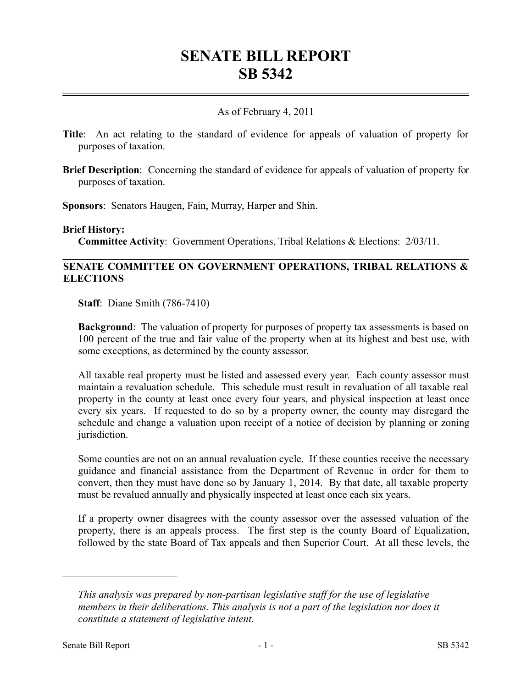# **SENATE BILL REPORT SB 5342**

# As of February 4, 2011

- **Title**: An act relating to the standard of evidence for appeals of valuation of property for purposes of taxation.
- **Brief Description**: Concerning the standard of evidence for appeals of valuation of property for purposes of taxation.

**Sponsors**: Senators Haugen, Fain, Murray, Harper and Shin.

#### **Brief History:**

**Committee Activity**: Government Operations, Tribal Relations & Elections: 2/03/11.

## **SENATE COMMITTEE ON GOVERNMENT OPERATIONS, TRIBAL RELATIONS & ELECTIONS**

**Staff**: Diane Smith (786-7410)

**Background**: The valuation of property for purposes of property tax assessments is based on 100 percent of the true and fair value of the property when at its highest and best use, with some exceptions, as determined by the county assessor.

All taxable real property must be listed and assessed every year. Each county assessor must maintain a revaluation schedule. This schedule must result in revaluation of all taxable real property in the county at least once every four years, and physical inspection at least once every six years. If requested to do so by a property owner, the county may disregard the schedule and change a valuation upon receipt of a notice of decision by planning or zoning jurisdiction.

Some counties are not on an annual revaluation cycle. If these counties receive the necessary guidance and financial assistance from the Department of Revenue in order for them to convert, then they must have done so by January 1, 2014. By that date, all taxable property must be revalued annually and physically inspected at least once each six years.

If a property owner disagrees with the county assessor over the assessed valuation of the property, there is an appeals process. The first step is the county Board of Equalization, followed by the state Board of Tax appeals and then Superior Court. At all these levels, the

––––––––––––––––––––––

*This analysis was prepared by non-partisan legislative staff for the use of legislative members in their deliberations. This analysis is not a part of the legislation nor does it constitute a statement of legislative intent.*